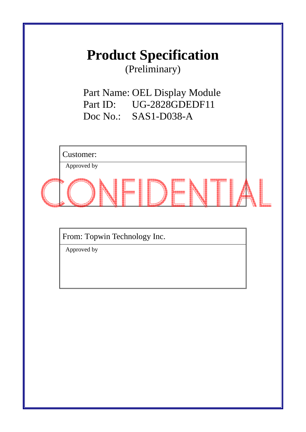# **Product Specification**

(Preliminary)

Part Name: OEL Display Module Part ID: UG-2828GDEDF11 Doc No.: SAS1-D038-A

Customer: Approved by

From: Topwin Technology Inc.

Approved by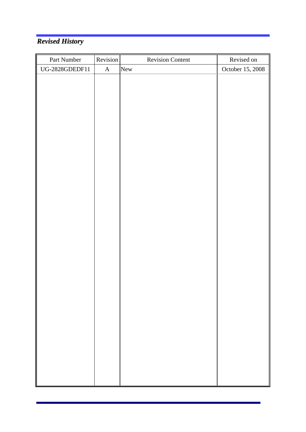# *Revised History*

| Part Number    | Revision    | <b>Revision Content</b> | Revised on       |
|----------------|-------------|-------------------------|------------------|
| UG-2828GDEDF11 | $\mathbf A$ | New                     | October 15, 2008 |
|                |             |                         |                  |
|                |             |                         |                  |
|                |             |                         |                  |
|                |             |                         |                  |
|                |             |                         |                  |
|                |             |                         |                  |
|                |             |                         |                  |
|                |             |                         |                  |
|                |             |                         |                  |
|                |             |                         |                  |
|                |             |                         |                  |
|                |             |                         |                  |
|                |             |                         |                  |
|                |             |                         |                  |
|                |             |                         |                  |
|                |             |                         |                  |
|                |             |                         |                  |
|                |             |                         |                  |
|                |             |                         |                  |
|                |             |                         |                  |
|                |             |                         |                  |
|                |             |                         |                  |
|                |             |                         |                  |
|                |             |                         |                  |
|                |             |                         |                  |
|                |             |                         |                  |
|                |             |                         |                  |
|                |             |                         |                  |
|                |             |                         |                  |
|                |             |                         |                  |
|                |             |                         |                  |
|                |             |                         |                  |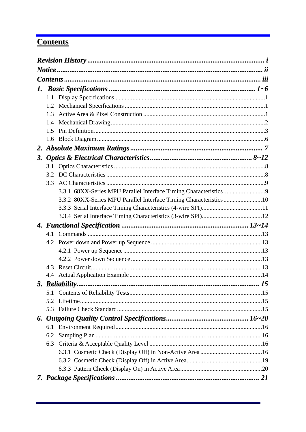# **Contents**

| 1. |     |  |
|----|-----|--|
|    | 1.1 |  |
|    | 1.2 |  |
|    | 1.3 |  |
|    | 1.4 |  |
|    | 1.5 |  |
|    | 1.6 |  |
|    |     |  |
| 3. |     |  |
|    | 3.1 |  |
|    | 3.2 |  |
|    | 3.3 |  |
|    |     |  |
|    |     |  |
|    |     |  |
|    |     |  |
|    |     |  |
|    |     |  |
|    |     |  |
|    |     |  |
|    |     |  |
|    | 4.3 |  |
|    |     |  |
|    |     |  |
|    | 5.1 |  |
|    | 5.2 |  |
|    | 5.3 |  |
|    |     |  |
|    | 6.1 |  |
|    | 6.2 |  |
|    | 6.3 |  |
|    |     |  |
|    |     |  |
|    |     |  |
|    |     |  |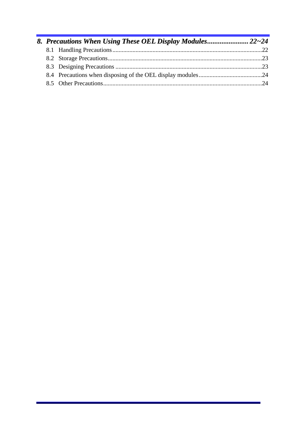|  | 8. Precautions When Using These OEL Display Modules 22~24 |  |
|--|-----------------------------------------------------------|--|
|  |                                                           |  |
|  |                                                           |  |
|  |                                                           |  |
|  |                                                           |  |
|  |                                                           |  |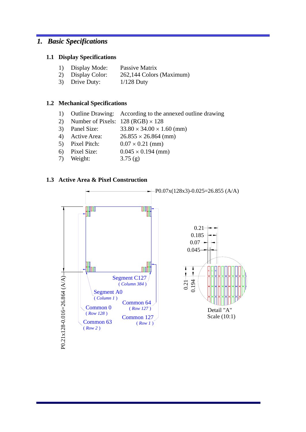### *1. Basic Specifications*

#### **1.1 Display Specifications**

- 1) Display Mode: Passive Matrix
- 2) Display Color: 262,144 Colors (Maximum)
- 3) Drive Duty: 1/128 Duty

#### **1.2 Mechanical Specifications**

- 1) Outline Drawing: According to the annexed outline drawing
- 2) Number of Pixels:  $128 (RGB) \times 128$
- 3) Panel Size:  $33.80 \times 34.00 \times 1.60$  (mm)
- 4) Active Area: 26.855 × 26.864 (mm)
- 5) Pixel Pitch:  $0.07 \times 0.21$  (mm)
- 6) Pixel Size:  $0.045 \times 0.194$  (mm)
- 7) Weight: 3.75 (g)



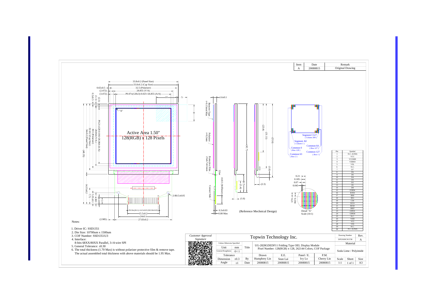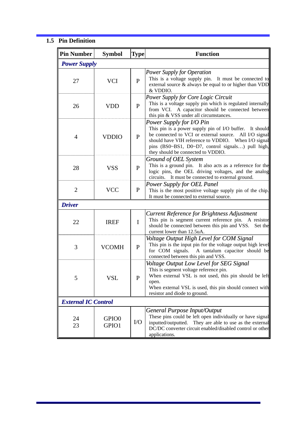### **1.5 Pin Definition**

| <b>Pin Number</b>          | <b>Symbol</b>              | <b>Type</b>  | <b>Function</b>                                                                                                                                                                                                                                                                                 |
|----------------------------|----------------------------|--------------|-------------------------------------------------------------------------------------------------------------------------------------------------------------------------------------------------------------------------------------------------------------------------------------------------|
| <b>Power Supply</b>        |                            |              |                                                                                                                                                                                                                                                                                                 |
| 27                         | <b>VCI</b>                 | $\mathbf{P}$ | <b>Power Supply for Operation</b><br>This is a voltage supply pin. It must be connected to<br>external source $\&$ always be equal to or higher than VDD<br>& VDDIO.                                                                                                                            |
| 26                         | <b>VDD</b>                 | $\mathbf{P}$ | <b>Power Supply for Core Logic Circuit</b><br>This is a voltage supply pin which is regulated internally<br>from VCI. A capacitor should be connected between<br>this pin & VSS under all circumstances.                                                                                        |
| $\overline{4}$             | <b>VDDIO</b>               | $\mathbf{P}$ | Power Supply for I/O Pin<br>This pin is a power supply pin of I/O buffer. It should<br>be connected to VCI or external source. All I/O signal<br>should have VIH reference to VDDIO. When I/O signal<br>pins (BS0~BS1, D0~D7, control signals) pull high,<br>they should be connected to VDDIO. |
| 28                         | <b>VSS</b>                 | $\mathbf{P}$ | Ground of OEL System<br>This is a ground pin. It also acts as a reference for the<br>logic pins, the OEL driving voltages, and the analog<br>circuits. It must be connected to external ground.                                                                                                 |
| $\overline{2}$             | <b>VCC</b>                 | $\mathbf{P}$ | <b>Power Supply for OEL Panel</b><br>This is the most positive voltage supply pin of the chip.<br>It must be connected to external source.                                                                                                                                                      |
| <b>Driver</b>              |                            |              |                                                                                                                                                                                                                                                                                                 |
| 22                         | <b>IREF</b>                | $\mathbf I$  | Current Reference for Brightness Adjustment<br>This pin is segment current reference pin. A resistor<br>should be connected between this pin and VSS.<br>Set the<br>current lower than 12.5uA.                                                                                                  |
| 3                          | <b>VCOMH</b>               | $\mathbf{P}$ | Voltage Output High Level for COM Signal<br>This pin is the input pin for the voltage output high level<br>for COM signals.<br>A tantalum capacitor should be<br>connected between this pin and VSS.                                                                                            |
| C                          | VSL                        | P            | Voltage Output Low Level for SEG Signal<br>This is segment voltage reference pin.<br>When external VSL is not used, this pin should be left<br>open.<br>When external VSL is used, this pin should connect with<br>resistor and diode to ground.                                                |
| <b>External IC Control</b> |                            |              |                                                                                                                                                                                                                                                                                                 |
| 24<br>23                   | GPIO <sub>0</sub><br>GPIO1 | $\rm LO$     | General Purpose Input/Output<br>These pins could be left open individually or have signal<br>They are able to use as the external<br>inputted/outputted.<br>DC/DC converter circuit enabled/disabled control or other<br>applications.                                                          |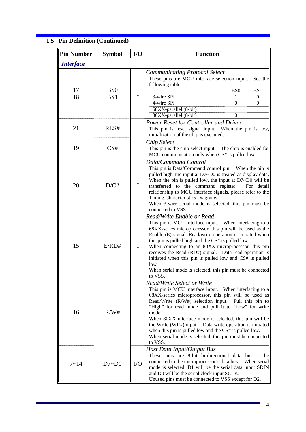# **1.5 Pin Definition (Continued)**

| <b>Pin Number</b> | <b>Symbol</b>          | $IO$        | <b>Function</b>                                                                                                                                                                                                                                                                                                                                                                                                                                                                                                               |                                                       |                                                                             |
|-------------------|------------------------|-------------|-------------------------------------------------------------------------------------------------------------------------------------------------------------------------------------------------------------------------------------------------------------------------------------------------------------------------------------------------------------------------------------------------------------------------------------------------------------------------------------------------------------------------------|-------------------------------------------------------|-----------------------------------------------------------------------------|
| <b>Interface</b>  |                        |             |                                                                                                                                                                                                                                                                                                                                                                                                                                                                                                                               |                                                       |                                                                             |
| 17<br>18          | B <sub>S0</sub><br>BS1 | $\bf{I}$    | <b>Communicating Protocol Select</b><br>These pins are MCU interface selection input.<br>following table:<br>3-wire SPI<br>4-wire SPI<br>68XX-parallel (8-bit)<br>80XX-parallel (8-bit)                                                                                                                                                                                                                                                                                                                                       | B <sub>S0</sub><br>1<br>$\mathbf{0}$<br>1<br>$\theta$ | See the<br>BS1<br>$\boldsymbol{0}$<br>$\boldsymbol{0}$<br>1<br>$\mathbf{1}$ |
| 21                | RES#                   | $\mathbf I$ | <b>Power Reset for Controller and Driver</b><br>This pin is reset signal input. When the pin is low,<br>initialization of the chip is executed.                                                                                                                                                                                                                                                                                                                                                                               |                                                       |                                                                             |
| 19                | CS#                    | $\mathbf I$ | <b>Chip Select</b><br>This pin is the chip select input. The chip is enabled for<br>MCU communication only when CS# is pulled low.                                                                                                                                                                                                                                                                                                                                                                                            |                                                       |                                                                             |
| 20                | D/C#                   | $\bf{I}$    | Data/Command Control<br>This pin is Data/Command control pin. When the pin is<br>pulled high, the input at D7~D0 is treated as display data.<br>When the pin is pulled low, the input at $D7~D0$ will be<br>transferred to the command register.<br>relationship to MCU interface signals, please refer to the<br>Timing Characteristics Diagrams.<br>When 3-wire serial mode is selected, this pin must be<br>connected to VSS.                                                                                              |                                                       | For detail                                                                  |
| 15                | E/RD#                  | $\bf{I}$    | Read/Write Enable or Read<br>This pin is MCU interface input. When interfacing to a<br>68XX-series microprocessor, this pin will be used as the<br>Enable (E) signal. Read/write operation is initiated when<br>this pin is pulled high and the CS# is pulled low.<br>When connecting to an 80XX-microprocessor, this pin<br>receives the Read (RD#) signal. Data read operation is<br>initiated when this pin is pulled low and CS# is pulled<br>low.<br>When serial mode is selected, this pin must be connected<br>to VSS. |                                                       |                                                                             |
| 16                | R/W#                   | I           | <b>Read/Write Select or Write</b><br>This pin is MCU interface input.<br>68XX-series microprocessor, this pin will be used as<br>Read/Write $(R/W#)$ selection input. Pull this pin to<br>"High" for read mode and pull it to "Low" for write<br>mode.<br>When 80XX interface mode is selected, this pin will be<br>the Write (WR#) input. Data write operation is initiated<br>when this pin is pulled low and the CS# is pulled low.<br>When serial mode is selected, this pin must be connected<br>to VSS.                 | When interfacing to a                                 |                                                                             |
| $7 - 14$          | D7~D0                  | I/O         | Host Data Input/Output Bus<br>These pins are 8-bit bi-directional data bus to be<br>connected to the microprocessor's data bus.<br>mode is selected, D1 will be the serial data input SDIN<br>and D0 will be the serial clock input SCLK.<br>Unused pins must be connected to VSS except for D2.                                                                                                                                                                                                                              |                                                       | When serial                                                                 |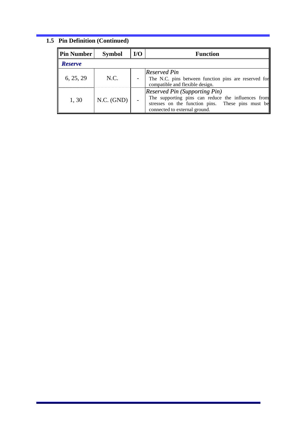# **1.5 Pin Definition (Continued)**

| ∥Pin Number<br><b>Symbol</b> |            | $U$ | <b>Function</b>                                                                                                                                                                  |  |
|------------------------------|------------|-----|----------------------------------------------------------------------------------------------------------------------------------------------------------------------------------|--|
| <b>Reserve</b>               |            |     |                                                                                                                                                                                  |  |
| 6, 25, 29                    | N.C.       |     | Reserved Pin<br>The N.C. pins between function pins are reserved for<br>compatible and flexible design.                                                                          |  |
| 1,30                         | N.C. (GND) |     | <b>Reserved Pin (Supporting Pin)</b><br>The supporting pins can reduce the influences from<br>stresses on the function pins. These pins must be<br>connected to external ground. |  |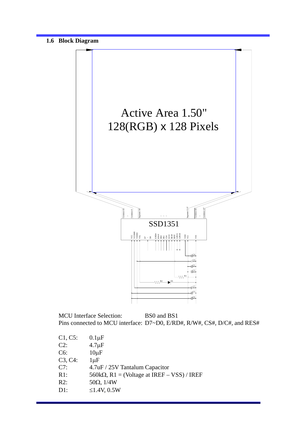

MCU Interface Selection: BS0 and BS1 Pins connected to MCU interface: D7~D0, E/RD#, R/W#, CS#, D/C#, and RES#

| $0.1 \mu F$                                        |
|----------------------------------------------------|
| $4.7 \mu F$                                        |
| $10\mu F$                                          |
| $1 \mu F$                                          |
| 4.7uF / 25V Tantalum Capacitor                     |
| $560k\Omega$ , R1 = (Voltage at IREF – VSS) / IREF |
| $50\Omega$ , $1/4W$                                |
| ≤1.4V, 0.5W                                        |
|                                                    |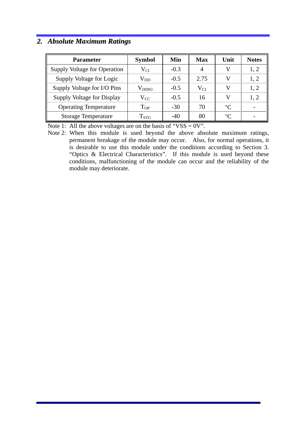### *2. Absolute Maximum Ratings*

| Parameter                    | <b>Symbol</b>      | Min    | Max      | Unit        | <b>Notes</b> |
|------------------------------|--------------------|--------|----------|-------------|--------------|
| Supply Voltage for Operation | $\rm V_{CI}$       | $-0.3$ | 4        |             | 1, 2         |
| Supply Voltage for Logic     | $\rm V_{DD}$       | $-0.5$ | 2.75     |             | 1, 2         |
| Supply Voltage for I/O Pins  | $V_{DDIO}$         | $-0.5$ | $V_{CI}$ | W           | 1, 2         |
| Supply Voltage for Display   | $\rm V_{CC}$       | $-0.5$ | 16       | 77          | 1, 2         |
| <b>Operating Temperature</b> | $T_{OP}$           | $-30$  | 70       | $\circ$ C   |              |
| <b>Storage Temperature</b>   | $\mathrm{T_{STG}}$ | $-40$  | 80       | $^{\circ}C$ |              |

Note 1: All the above voltages are on the basis of "VSS =  $0V$ ".

Note 2: When this module is used beyond the above absolute maximum ratings, permanent breakage of the module may occur. Also, for normal operations, it is desirable to use this module under the conditions according to Section 3. "Optics & Electrical Characteristics". If this module is used beyond these conditions, malfunctioning of the module can occur and the reliability of the module may deteriorate.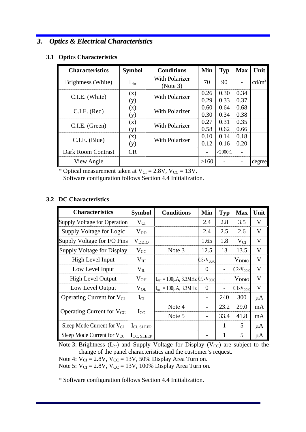### *3. Optics & Electrical Characteristics*

#### **3.1 Optics Characteristics**

| <b>Characteristics</b>    | <b>Symbol</b> | <b>Conditions</b>                 | Min  | <b>Typ</b> | <b>Max</b>               | Unit              |
|---------------------------|---------------|-----------------------------------|------|------------|--------------------------|-------------------|
| Brightness (White)        | $L_{\rm br}$  | <b>With Polarizer</b><br>(Note 3) | 70   | 90         | $\overline{\phantom{0}}$ | cd/m <sup>2</sup> |
| C.I.E. (White)            | (x)           | With Polarizer                    | 0.26 | 0.30       | 0.34                     |                   |
|                           | (y)           |                                   | 0.29 | 0.33       | 0.37                     |                   |
|                           | (x)           | <b>With Polarizer</b>             | 0.60 | 0.64       | 0.68                     |                   |
| C.I.E. (Red)              | (y)           |                                   | 0.30 | 0.34       | 0.38                     |                   |
| C.I.E. (Green)            | (x)           | With Polarizer                    | 0.27 | 0.31       | 0.35                     |                   |
|                           | (y)           | 0.58                              | 0.62 | 0.66       |                          |                   |
|                           | (x)           | With Polarizer                    | 0.10 | 0.14       | 0.18                     |                   |
| $C.I.E.$ (Blue)           | (y)           |                                   | 0.12 | 0.16       | 0.20                     |                   |
| <b>Dark Room Contrast</b> | <b>CR</b>     |                                   |      | >2000:1    |                          |                   |
| View Angle                |               |                                   | >160 |            |                          | degree            |

\* Optical measurement taken at  $V_{CI} = 2.8V$ ,  $V_{CC} = 13V$ .

Software configuration follows Section 4.4 Initialization.

### **3.2 DC Characteristics**

| <b>Characteristics</b>          | <b>Symbol</b>          | <b>Conditions</b>                                  | Min                   | Typ                      | <b>Max</b>            | Unit        |
|---------------------------------|------------------------|----------------------------------------------------|-----------------------|--------------------------|-----------------------|-------------|
| Supply Voltage for Operation    | $V_{CI}$               |                                                    | 2.4                   | 2.8                      | 3.5                   | V           |
| Supply Voltage for Logic        | $V_{DD}$               |                                                    | 2.4                   | 2.5                      | 2.6                   | V           |
| Supply Voltage for I/O Pins     | $V_{DDIO}$             |                                                    | 1.65                  | 1.8                      | $V_{CI}$              | V           |
| Supply Voltage for Display      | $V_{CC}$               | Note 3                                             | 12.5                  | 13                       | 13.5                  | $\mathbf V$ |
| High Level Input                | $\rm V_{IH}$           |                                                    | $0.8 \times V_{DDIO}$ |                          | $V_{DDIO}$            | V           |
| Low Level Input                 | $V_{IL}$               |                                                    | $\Omega$              | $\overline{\phantom{a}}$ | $0.2 \times V_{DDIO}$ | $\mathbf V$ |
| <b>High Level Output</b>        | $V_{OH}$               | $I_{out} = 100\mu A$ , 3.3MHz $0.9\times V_{DDIO}$ |                       | $\overline{\phantom{0}}$ | $V_{DDIO}$            | V           |
| Low Level Output                | $V_{OL}$               | $I_{out} = 100\mu A$ , 3.3MHz                      | $\overline{0}$        |                          | $0.1 \times V_{DDIO}$ | V           |
| Operating Current for $V_{CI}$  | $I_{CI}$               |                                                    |                       | 240                      | 300                   | $\mu A$     |
|                                 |                        | Note 4                                             |                       | 23.2                     | 29.0                  | mA          |
| Operating Current for $V_{CC}$  | $I_{CC}$               | Note 5                                             |                       | 33.4                     | 41.8                  | mA          |
| Sleep Mode Current for $V_{CI}$ | $ICI$ , SLEEP          |                                                    |                       | 1                        | 5                     | $\mu A$     |
| Sleep Mode Current for $V_{CC}$ | $I_{\text{CC, SLEEP}}$ |                                                    |                       | 1                        | 5                     | μA          |

Note 3: Brightness  $(L_{br})$  and Supply Voltage for Display (V<sub>CC</sub>) are subject to the change of the panel characteristics and the customer's request.

Note 4:  $V_{CI} = 2.8V$ ,  $V_{CC} = 13V$ , 50% Display Area Turn on.

Note 5:  $V_{CI} = 2.8V$ ,  $V_{CC} = 13V$ , 100% Display Area Turn on.

\* Software configuration follows Section 4.4 Initialization.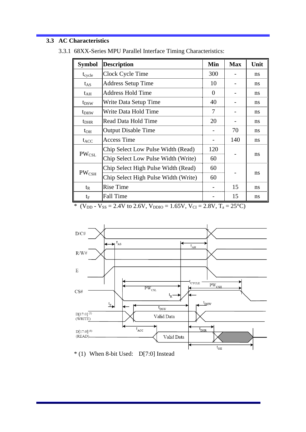### **3.3 AC Characteristics**

| <b>Symbol</b>    | <b>Description</b>                   | Min      | <b>Max</b> | Unit |
|------------------|--------------------------------------|----------|------------|------|
| $t_{cycle}$      | Clock Cycle Time                     | 300      |            | ns   |
| $t_{AS}$         | <b>Address Setup Time</b>            | 10       |            | ns   |
| $t_{AH}$         | <b>Address Hold Time</b>             | $\theta$ |            | ns   |
| $t_{DSW}$        | Write Data Setup Time                | 40       |            | ns   |
| t <sub>DHW</sub> | Write Data Hold Time                 | 7        |            | ns   |
| $t_{\rm DHR}$    | Read Data Hold Time                  | 20       |            | ns   |
| $t_{OH}$         | <b>Output Disable Time</b>           |          | 70         | ns   |
| $t_{ACC}$        | <b>Access Time</b>                   |          | 140        | ns   |
|                  | Chip Select Low Pulse Width (Read)   | 120      |            |      |
| $PW_{\rm CSL}$   | Chip Select Low Pulse Width (Write)  | 60       |            | ns   |
|                  | Chip Select High Pulse Width (Read)  | 60       |            |      |
| $PW_{\rm CSH}$   | Chip Select High Pulse Width (Write) |          |            | ns   |
| $t_{R}$          | <b>Rise Time</b>                     |          | 15         | ns   |
| $t_F$            | <b>Fall Time</b>                     |          | 15         | ns   |

3.3.1 68XX-Series MPU Parallel Interface Timing Characteristics:

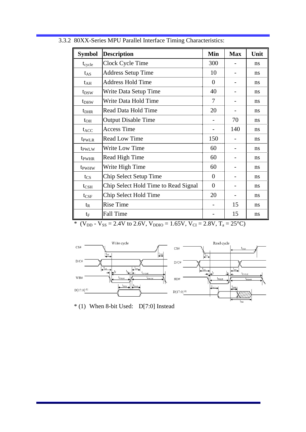| <b>Symbol</b>     | <b>Description</b>                   | Min            | <b>Max</b> | Unit |
|-------------------|--------------------------------------|----------------|------------|------|
| $t_{cycle}$       | Clock Cycle Time                     | 300            |            | ns   |
| $t_{AS}$          | <b>Address Setup Time</b>            | 10             |            | ns   |
| $t_{AH}$          | <b>Address Hold Time</b>             | $\overline{0}$ |            | ns   |
| t <sub>DSW</sub>  | Write Data Setup Time                | 40             |            | ns   |
| t <sub>DHW</sub>  | Write Data Hold Time                 | 7              |            | ns   |
| $t_{\rm DHR}$     | Read Data Hold Time                  | 20             |            | ns   |
| $t_{OH}$          | <b>Output Disable Time</b>           |                | 70         | ns   |
| $t_{ACC}$         | <b>Access Time</b>                   |                | 140        | ns   |
| t <sub>pwLR</sub> | <b>Read Low Time</b>                 | 150            |            | ns   |
| t <sub>PWLW</sub> | <b>Write Low Time</b>                | 60             |            | ns   |
| t <sub>pwHR</sub> | Read High Time                       | 60             |            | ns   |
| t <sub>pwHW</sub> | Write High Time                      | 60             |            | ns   |
| $t_{CS}$          | Chip Select Setup Time               | $\overline{0}$ |            | ns   |
| $t_{\rm CSH}$     | Chip Select Hold Time to Read Signal | $\Omega$       |            | ns   |
| $t_{\rm CSF}$     | Chip Select Hold Time                | 20             |            | ns   |
| $t_{R}$           | <b>Rise Time</b>                     |                | 15         | ns   |
| $t_{\rm F}$       | <b>Fall Time</b>                     |                | 15         | ns   |

3.3.2 80XX-Series MPU Parallel Interface Timing Characteristics:



\* (1) When 8-bit Used: D[7:0] Instead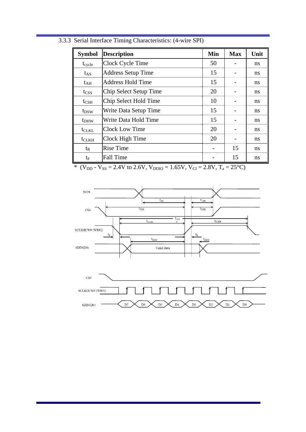| <b>Symbol</b>     | <b>Description</b>        | Min | <b>Max</b> | Unit |
|-------------------|---------------------------|-----|------------|------|
| $t_{cycle}$       | Clock Cycle Time          | 50  |            | ns   |
| $t_{AS}$          | <b>Address Setup Time</b> | 15  |            | ns   |
| $t_{\rm AH}$      | <b>Address Hold Time</b>  | 15  |            | ns   |
| $t_{CSS}$         | Chip Select Setup Time    | 20  |            | ns   |
| $t_{\rm CSH}$     | Chip Select Hold Time     | 10  |            | ns   |
| $t_{DSW}$         | Write Data Setup Time     | 15  |            | ns   |
| t <sub>DHW</sub>  | Write Data Hold Time      | 15  |            | ns   |
| t <sub>CLKL</sub> | Clock Low Time            | 20  |            | ns   |
| $t_{CLKH}$        | Clock High Time           | 20  |            | ns   |
| $t_{R}$           | <b>Rise Time</b>          |     | 15         | ns   |
| $t_{\rm F}$       | <b>Fall Time</b>          |     | 15         | ns   |

3.3.3 Serial Interface Timing Characteristics: (4-wire SPI)



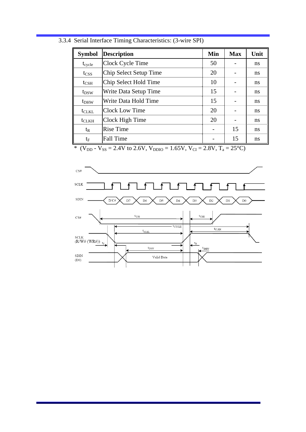| <b>Symbol</b>    | <b>Description</b>     | Min | <b>Max</b> | Unit          |
|------------------|------------------------|-----|------------|---------------|
| $t_{cycle}$      | Clock Cycle Time       | 50  |            | ns            |
| t <sub>CSS</sub> | Chip Select Setup Time | 20  |            | ns            |
| $t_{\rm CSH}$    | Chip Select Hold Time  | 10  |            | <sub>ns</sub> |
| t <sub>DSW</sub> | Write Data Setup Time  | 15  |            | ns            |
| t <sub>DHW</sub> | Write Data Hold Time   | 15  |            | ns            |
| $t_{CLKL}$       | <b>Clock Low Time</b>  | 20  |            | ns            |
| $t_{CLKH}$       | Clock High Time        | 20  |            | ns            |
| $t_{R}$          | <b>Rise Time</b>       |     | 15         | ns            |
| te               | <b>Fall Time</b>       |     | 15         | ns            |

3.3.4 Serial Interface Timing Characteristics: (3-wire SPI)

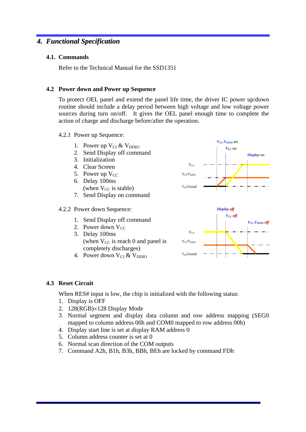### *4. Functional Specification*

### **4.1. Commands**

Refer to the Technical Manual for the SSD1351

### **4.2 Power down and Power up Sequence**

To protect OEL panel and extend the panel life time, the driver IC power up/down routine should include a delay period between high voltage and low voltage power sources during turn on/off. It gives the OEL panel enough time to complete the action of charge and discharge before/after the operation.

- 4.2.1 Power up Sequence:
	- 1. Power up  $V_{CI}$  &  $V_{DDIO}$
	- 2. Send Display off command
	- 3. Initialization
	- 4. Clear Screen
	- 5. Power up  $V_{CC}$
	- 6. Delay 100ms (when  $V_{CC}$  is stable)
	- 7. Send Display on command

#### 4.2.2 Power down Sequence:

- 1. Send Display off command
- 2. Power down  $V_{CC}$
- 3. Delay 100ms (when  $V_{CC}$  is reach 0 and panel is completely discharges)
- 4. Power down  $V_{CI} & V_{DDIO}$





#### **4.3 Reset Circuit**

When RES# input is low, the chip is initialized with the following status:

- 1. Display is OFF
- 2. 128(RGB)×128 Display Mode
- 3. Normal segment and display data column and row address mapping (SEG0 mapped to column address 00h and COM0 mapped to row address 00h)
- 4. Display start line is set at display RAM address 0
- 5. Column address counter is set at 0
- 6. Normal scan direction of the COM outputs
- 7. Command A2h, B1h, B3h, BBh, BEh are locked by command FDh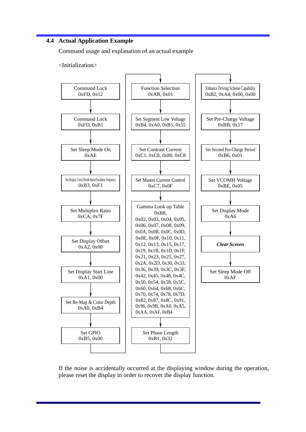### **4.4 Actual Application Example**

Command usage and explanation of an actual example

<Initialization>



If the noise is accidentally occurred at the displaying window during the operation, please reset the display in order to recover the display function.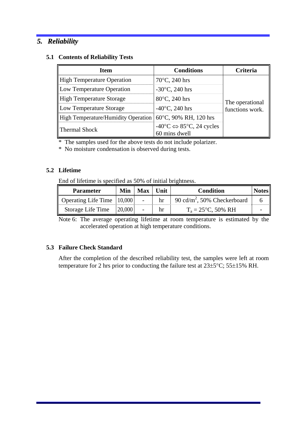### *5. Reliability*

### **5.1 Contents of Reliability Tests**

| <b>Item</b>                                | <b>Conditions</b>                                                       | Criteria        |  |
|--------------------------------------------|-------------------------------------------------------------------------|-----------------|--|
| <b>High Temperature Operation</b>          | $70^{\circ}$ C, 240 hrs                                                 |                 |  |
| Low Temperature Operation                  | $-30^{\circ}$ C, 240 hrs                                                | The operational |  |
| High Temperature Storage                   | 80°C, 240 hrs                                                           |                 |  |
| Low Temperature Storage                    | $-40^{\circ}$ C, 240 hrs                                                | functions work. |  |
| <b>High Temperature/Humidity Operation</b> | 60°C, 90% RH, 120 hrs                                                   |                 |  |
| <b>Thermal Shock</b>                       | $-40\degree C \Leftrightarrow 85\degree C$ , 24 cycles<br>60 mins dwell |                 |  |

\* The samples used for the above tests do not include polarizer.

\* No moisture condensation is observed during tests.

### **5.2 Lifetime**

End of lifetime is specified as 50% of initial brightness.

| <b>Parameter</b>             | Min    | <b>Max</b> | Unit | <b>Condition</b>                        | <b>Notes</b> |
|------------------------------|--------|------------|------|-----------------------------------------|--------------|
| Operating Life Time   10,000 |        |            | hr   | 90 cd/m <sup>2</sup> , 50% Checkerboard |              |
| Storage Life Time            | 20,000 |            | hr   | $T_a = 25$ °C, 50% RH                   |              |

Note 6: The average operating lifetime at room temperature is estimated by the accelerated operation at high temperature conditions.

### **5.3 Failure Check Standard**

After the completion of the described reliability test, the samples were left at room temperature for 2 hrs prior to conducting the failure test at 23±5°C; 55±15% RH.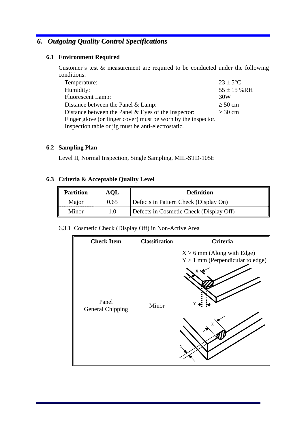## *6. Outgoing Quality Control Specifications*

### **6.1 Environment Required**

Customer's test & measurement are required to be conducted under the following conditions:

| Temperature:                                                  | $23 \pm 5$ °C   |
|---------------------------------------------------------------|-----------------|
| Humidity:                                                     | $55 \pm 15$ %RH |
| <b>Fluorescent Lamp:</b>                                      | 30W             |
| Distance between the Panel $&$ Lamp:                          | $\geq 50$ cm    |
| Distance between the Panel $&$ Eyes of the Inspector:         | $\geq 30$ cm    |
| Finger glove (or finger cover) must be worn by the inspector. |                 |
| Inspection table or jig must be anti-electrostatic.           |                 |

### **6.2 Sampling Plan**

Level II, Normal Inspection, Single Sampling, MIL-STD-105E

### **6.3 Criteria & Acceptable Quality Level**

| <b>Partition</b> | <b>AQL</b> | <b>Definition</b>                       |  |
|------------------|------------|-----------------------------------------|--|
| Major            | 0.65       | Defects in Pattern Check (Display On)   |  |
| Minor            | $\Lambda$  | Defects in Cosmetic Check (Display Off) |  |

### 6.3.1 Cosmetic Check (Display Off) in Non-Active Area

| <b>Check Item</b>                | <b>Classification</b> | <b>Criteria</b>                                                                   |
|----------------------------------|-----------------------|-----------------------------------------------------------------------------------|
| Panel<br><b>General Chipping</b> | Minor                 | $X > 6$ mm (Along with Edge)<br>$Y > 1$ mm (Perpendicular to edge)<br>Y<br>X<br>Y |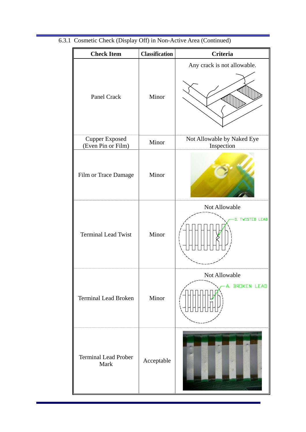| <b>Check Item</b>                           | <b>Classification</b> | <b>Criteria</b>                          |
|---------------------------------------------|-----------------------|------------------------------------------|
| Panel Crack                                 | Minor                 | Any crack is not allowable.              |
| <b>Cupper Exposed</b><br>(Even Pin or Film) | Minor                 | Not Allowable by Naked Eye<br>Inspection |
| Film or Trace Damage                        | Minor                 |                                          |
| <b>Terminal Lead Twist</b>                  | Minor                 | Not Allowable<br>D. TWISTED LEAD         |
| <b>Terminal Lead Broken</b>                 | Minor                 | Not Allowable<br>A. BROKEN LEAD          |
| <b>Terminal Lead Prober</b><br>Mark         | Acceptable            |                                          |

6.3.1 Cosmetic Check (Display Off) in Non-Active Area (Continued)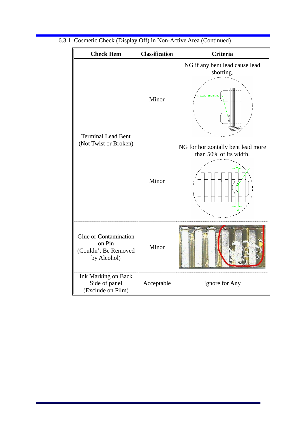| <b>Check Item</b>                                                             | <b>Classification</b> | <b>Criteria</b>                                              |
|-------------------------------------------------------------------------------|-----------------------|--------------------------------------------------------------|
| <b>Terminal Lead Bent</b>                                                     | Minor                 | NG if any bent lead cause lead<br>shorting.<br>AD SHORTING   |
| (Not Twist or Broken)                                                         | Minor                 | NG for horizontally bent lead more<br>than 50% of its width. |
| <b>Glue or Contamination</b><br>on Pin<br>(Couldn't Be Removed<br>by Alcohol) | Minor                 |                                                              |
| <b>Ink Marking on Back</b><br>Side of panel<br>(Exclude on Film)              | Acceptable            | Ignore for Any                                               |

6.3.1 Cosmetic Check (Display Off) in Non-Active Area (Continued)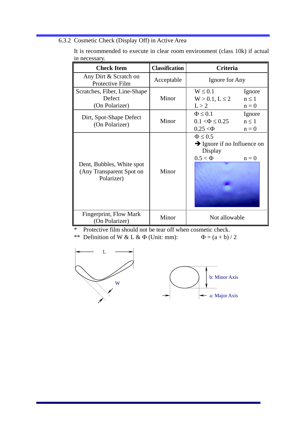6.3.2 Cosmetic Check (Display Off) in Active Area

| <b>Check Item</b>                                                   | <b>Classification</b> | <b>Criteria</b>                                                                                  |
|---------------------------------------------------------------------|-----------------------|--------------------------------------------------------------------------------------------------|
| Any Dirt & Scratch on<br>Protective Film                            | Acceptable            | Ignore for Any                                                                                   |
| Scratches, Fiber, Line-Shape<br>Defect<br>(On Polarizer)            | Minor                 | $W \leq 0.1$<br>Ignore<br>$n \leq 1$<br>$W > 0.1, L \le 2$<br>L > 2<br>$n = 0$                   |
| Dirt, Spot-Shape Defect<br>(On Polarizer)                           | Minor                 | $\Phi \leq 0.1$<br>Ignore<br>$n \leq 1$<br>$0.1 < \Phi \leq 0.25$<br>$0.25 < \Phi$<br>$n = 0$    |
| Dent, Bubbles, White spot<br>(Any Transparent Spot on<br>Polarizer) | Minor                 | $\Phi \leq 0.5$<br>$\rightarrow$ Ignore if no Influence on<br>Display<br>$0.5 < \Phi$<br>$n = 0$ |
| Fingerprint, Flow Mark<br>(On Polarizer)                            | Minor                 | Not allowable                                                                                    |

It is recommended to execute in clear room environment (class 10k) if actual in necessary.

\* Protective film should not be tear off when cosmetic check.

\*\* Definition of W & L &  $\Phi$  (Unit: mm):  $\Phi = (a + b)/2$ 

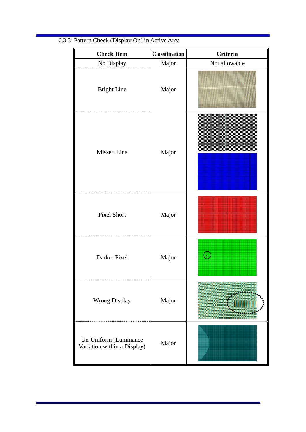| <b>Check Item</b>                                    | <b>Classification</b> | <b>Criteria</b> |
|------------------------------------------------------|-----------------------|-----------------|
| No Display                                           | Major                 | Not allowable   |
| <b>Bright Line</b>                                   | Major                 |                 |
| <b>Missed Line</b>                                   | Major                 |                 |
| Pixel Short                                          | Major                 |                 |
| Darker Pixel                                         | Major                 | Œ               |
| Wrong Display                                        | Major                 |                 |
| Un-Uniform (Luminance<br>Variation within a Display) | Major                 |                 |

# 6.3.3 Pattern Check (Display On) in Active Area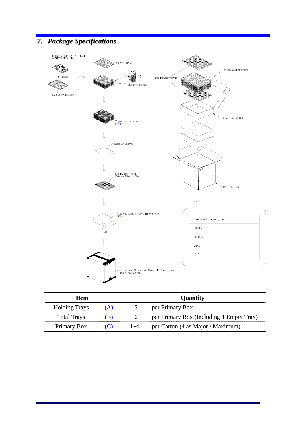# *7. Package Specifications*



| Item                 |     |         | Quantity                                 |
|----------------------|-----|---------|------------------------------------------|
| <b>Holding Trays</b> | (A) | 15      | per Primary Box                          |
| <b>Total Trays</b>   | (B) | 16      | per Primary Box (Including 1 Empty Tray) |
| Primary Box          |     | $1 - 4$ | per Carton (4 as Major / Maximum)        |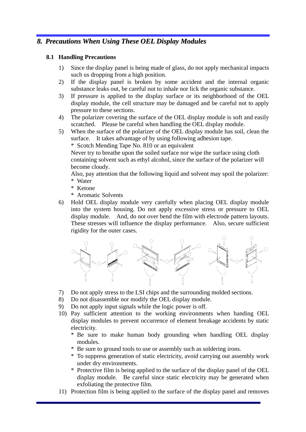### *8. Precautions When Using These OEL Display Modules*

### **8.1 Handling Precautions**

- 1) Since the display panel is being made of glass, do not apply mechanical impacts such us dropping from a high position.
- 2) If the display panel is broken by some accident and the internal organic substance leaks out, be careful not to inhale nor lick the organic substance.
- 3) If pressure is applied to the display surface or its neighborhood of the OEL display module, the cell structure may be damaged and be careful not to apply pressure to these sections.
- 4) The polarizer covering the surface of the OEL display module is soft and easily scratched. Please be careful when handling the OEL display module.
- 5) When the surface of the polarizer of the OEL display module has soil, clean the surface. It takes advantage of by using following adhesion tape.

\* Scotch Mending Tape No. 810 or an equivalent

Never try to breathe upon the soiled surface nor wipe the surface using cloth containing solvent such as ethyl alcohol, since the surface of the polarizer will become cloudy.

Also, pay attention that the following liquid and solvent may spoil the polarizer: \* Water

- \* Ketone
- \* Aromatic Solvents
- 6) Hold OEL display module very carefully when placing OEL display module into the system housing. Do not apply excessive stress or pressure to OEL display module. And, do not over bend the film with electrode pattern layouts. These stresses will influence the display performance. Also, secure sufficient rigidity for the outer cases.



- 7) Do not apply stress to the LSI chips and the surrounding molded sections.
- 8) Do not disassemble nor modify the OEL display module.
- 9) Do not apply input signals while the logic power is off.
- 10) Pay sufficient attention to the working environments when handing OEL display modules to prevent occurrence of element breakage accidents by static electricity.
	- \* Be sure to make human body grounding when handling OEL display modules.
	- \* Be sure to ground tools to use or assembly such as soldering irons.
	- \* To suppress generation of static electricity, avoid carrying out assembly work under dry environments.
	- \* Protective film is being applied to the surface of the display panel of the OEL display module. Be careful since static electricity may be generated when exfoliating the protective film.
- 11) Protection film is being applied to the surface of the display panel and removes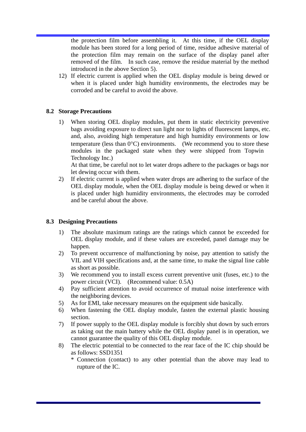the protection film before assembling it. At this time, if the OEL display module has been stored for a long period of time, residue adhesive material of the protection film may remain on the surface of the display panel after removed of the film. In such case, remove the residue material by the method introduced in the above Section 5).

12) If electric current is applied when the OEL display module is being dewed or when it is placed under high humidity environments, the electrodes may be corroded and be careful to avoid the above.

### **8.2 Storage Precautions**

1) When storing OEL display modules, put them in static electricity preventive bags avoiding exposure to direct sun light nor to lights of fluorescent lamps, etc. and, also, avoiding high temperature and high humidity environments or low temperature (less than  $0^{\circ}$ C) environments. (We recommend you to store these modules in the packaged state when they were shipped from Topwin Technology Inc.)

At that time, be careful not to let water drops adhere to the packages or bags nor let dewing occur with them.

2) If electric current is applied when water drops are adhering to the surface of the OEL display module, when the OEL display module is being dewed or when it is placed under high humidity environments, the electrodes may be corroded and be careful about the above.

### **8.3 Designing Precautions**

- 1) The absolute maximum ratings are the ratings which cannot be exceeded for OEL display module, and if these values are exceeded, panel damage may be happen.
- 2) To prevent occurrence of malfunctioning by noise, pay attention to satisfy the VIL and VIH specifications and, at the same time, to make the signal line cable as short as possible.
- 3) We recommend you to install excess current preventive unit (fuses, etc.) to the power circuit (VCI). (Recommend value: 0.5A)
- 4) Pay sufficient attention to avoid occurrence of mutual noise interference with the neighboring devices.
- 5) As for EMI, take necessary measures on the equipment side basically.
- 6) When fastening the OEL display module, fasten the external plastic housing section.
- 7) If power supply to the OEL display module is forcibly shut down by such errors as taking out the main battery while the OEL display panel is in operation, we cannot guarantee the quality of this OEL display module.
- 8) The electric potential to be connected to the rear face of the IC chip should be as follows: SSD1351
	- \* Connection (contact) to any other potential than the above may lead to rupture of the IC.